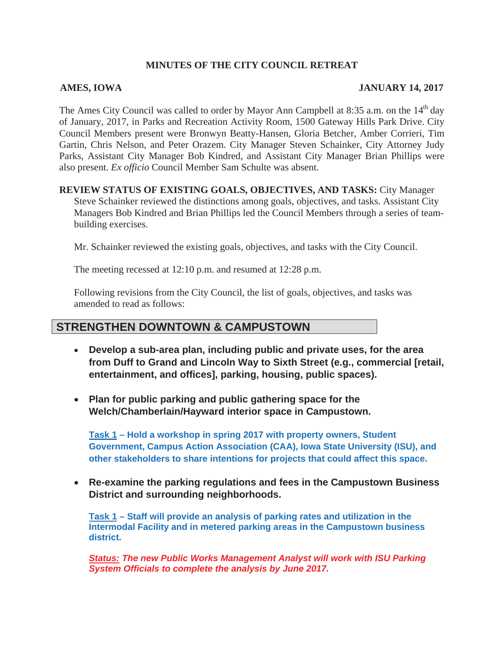#### **MINUTES OF THE CITY COUNCIL RETREAT**

#### **AMES, IOWA JANUARY 14, 2017**

The Ames City Council was called to order by Mayor Ann Campbell at 8:35 a.m. on the  $14<sup>th</sup>$  day of January, 2017, in Parks and Recreation Activity Room, 1500 Gateway Hills Park Drive. City Council Members present were Bronwyn Beatty-Hansen, Gloria Betcher, Amber Corrieri, Tim Gartin, Chris Nelson, and Peter Orazem. City Manager Steven Schainker, City Attorney Judy Parks, Assistant City Manager Bob Kindred, and Assistant City Manager Brian Phillips were also present. *Ex officio* Council Member Sam Schulte was absent.

#### **REVIEW STATUS OF EXISTING GOALS, OBJECTIVES, AND TASKS:** City Manager

Steve Schainker reviewed the distinctions among goals, objectives, and tasks. Assistant City Managers Bob Kindred and Brian Phillips led the Council Members through a series of teambuilding exercises.

Mr. Schainker reviewed the existing goals, objectives, and tasks with the City Council.

The meeting recessed at 12:10 p.m. and resumed at 12:28 p.m.

Following revisions from the City Council, the list of goals, objectives, and tasks was amended to read as follows:

### **STRENGTHEN DOWNTOWN & CAMPUSTOWN**

- x **Develop a sub-area plan, including public and private uses, for the area from Duff to Grand and Lincoln Way to Sixth Street (e.g., commercial [retail, entertainment, and offices], parking, housing, public spaces).**
- Plan for public parking and public gathering space for the **Welch/Chamberlain/Hayward interior space in Campustown.**

**Task 1 – Hold a workshop in spring 2017 with property owners, Student Government, Campus Action Association (CAA), Iowa State University (ISU), and other stakeholders to share intentions for projects that could affect this space.** 

x **Re-examine the parking regulations and fees in the Campustown Business District and surrounding neighborhoods.** 

**Task 1 – Staff will provide an analysis of parking rates and utilization in the Intermodal Facility and in metered parking areas in the Campustown business district.**

*Status: The new Public Works Management Analyst will work with ISU Parking System Officials to complete the analysis by June 2017.*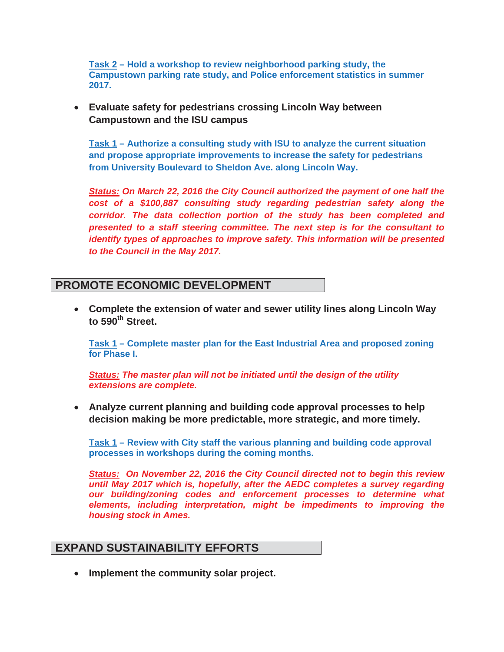**Task 2 – Hold a workshop to review neighborhood parking study, the Campustown parking rate study, and Police enforcement statistics in summer 2017.**

#### **Evaluate safety for pedestrians crossing Lincoln Way between Campustown and the ISU campus**

**Task 1 – Authorize a consulting study with ISU to analyze the current situation and propose appropriate improvements to increase the safety for pedestrians from University Boulevard to Sheldon Ave. along Lincoln Way.** 

*Status: On March 22, 2016 the City Council authorized the payment of one half the cost of a \$100,887 consulting study regarding pedestrian safety along the corridor. The data collection portion of the study has been completed and presented to a staff steering committee. The next step is for the consultant to identify types of approaches to improve safety. This information will be presented to the Council in the May 2017.* 

# **PROMOTE ECONOMIC DEVELOPMENT**

x **Complete the extension of water and sewer utility lines along Lincoln Way**  to 590<sup>th</sup> Street.

**Task 1 – Complete master plan for the East Industrial Area and proposed zoning for Phase I.** 

*Status: The master plan will not be initiated until the design of the utility extensions are complete.* 

**EXALGE Analyze current planning and building code approval processes to help decision making be more predictable, more strategic, and more timely.** 

**Task 1 – Review with City staff the various planning and building code approval processes in workshops during the coming months.** 

*Status: On November 22, 2016 the City Council directed not to begin this review until May 2017 which is, hopefully, after the AEDC completes a survey regarding our building/zoning codes and enforcement processes to determine what elements, including interpretation, might be impediments to improving the housing stock in Ames.* 

# **EXPAND SUSTAINABILITY EFFORTS**

**• Implement the community solar project.**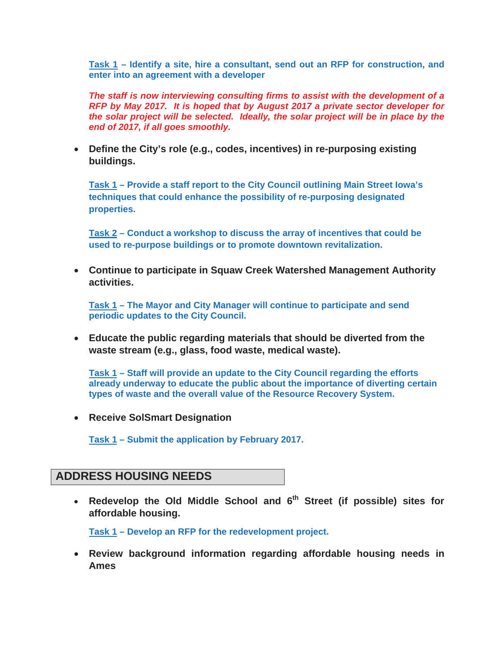**Task 1 – Identify a site, hire a consultant, send out an RFP for construction, and enter into an agreement with a developer** 

*The staff is now interviewing consulting firms to assist with the development of a RFP by May 2017. It is hoped that by August 2017 a private sector developer for the solar project will be selected. Ideally, the solar project will be in place by the end of 2017, if all goes smoothly.* 

**•** Define the City's role (e.g., codes, incentives) in re-purposing existing **buildings.**

**Task 1 – Provide a staff report to the City Council outlining Main Street Iowa's techniques that could enhance the possibility of re-purposing designated properties.**

**Task 2 – Conduct a workshop to discuss the array of incentives that could be used to re-purpose buildings or to promote downtown revitalization.** 

x **Continue to participate in Squaw Creek Watershed Management Authority activities.**

**Task 1 – The Mayor and City Manager will continue to participate and send periodic updates to the City Council.** 

x **Educate the public regarding materials that should be diverted from the waste stream (e.g., glass, food waste, medical waste).** 

**Task 1 – Staff will provide an update to the City Council regarding the efforts already underway to educate the public about the importance of diverting certain types of waste and the overall value of the Resource Recovery System.** 

**• Receive SolSmart Designation** 

**Task 1 – Submit the application by February 2017.** 

# **ADDRESS HOUSING NEEDS**

• Redevelop the Old Middle School and 6<sup>th</sup> Street (if possible) sites for **affordable housing.**

**Task 1 – Develop an RFP for the redevelopment project.** 

**• Review background information regarding affordable housing needs in Ames**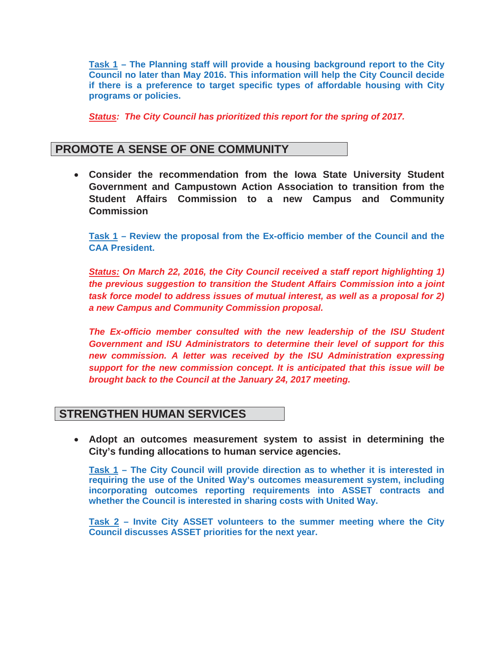**Task 1 – The Planning staff will provide a housing background report to the City Council no later than May 2016. This information will help the City Council decide if there is a preference to target specific types of affordable housing with City programs or policies.** 

*Status: The City Council has prioritized this report for the spring of 2017.* 

## **PROMOTE A SENSE OF ONE COMMUNITY**

x **Consider the recommendation from the Iowa State University Student Government and Campustown Action Association to transition from the Student Affairs Commission to a new Campus and Community Commission**

**Task 1 – Review the proposal from the Ex-officio member of the Council and the CAA President.** 

*Status: On March 22, 2016, the City Council received a staff report highlighting 1) the previous suggestion to transition the Student Affairs Commission into a joint task force model to address issues of mutual interest, as well as a proposal for 2) a new Campus and Community Commission proposal.* 

*The Ex-officio member consulted with the new leadership of the ISU Student Government and ISU Administrators to determine their level of support for this new commission. A letter was received by the ISU Administration expressing support for the new commission concept. It is anticipated that this issue will be brought back to the Council at the January 24, 2017 meeting.* 

# **STRENGTHEN HUMAN SERVICES**

x **Adopt an outcomes measurement system to assist in determining the City's funding allocations to human service agencies.** 

**Task 1 – The City Council will provide direction as to whether it is interested in requiring the use of the United Way's outcomes measurement system, including incorporating outcomes reporting requirements into ASSET contracts and whether the Council is interested in sharing costs with United Way.** 

**Task 2 – Invite City ASSET volunteers to the summer meeting where the City Council discusses ASSET priorities for the next year.**